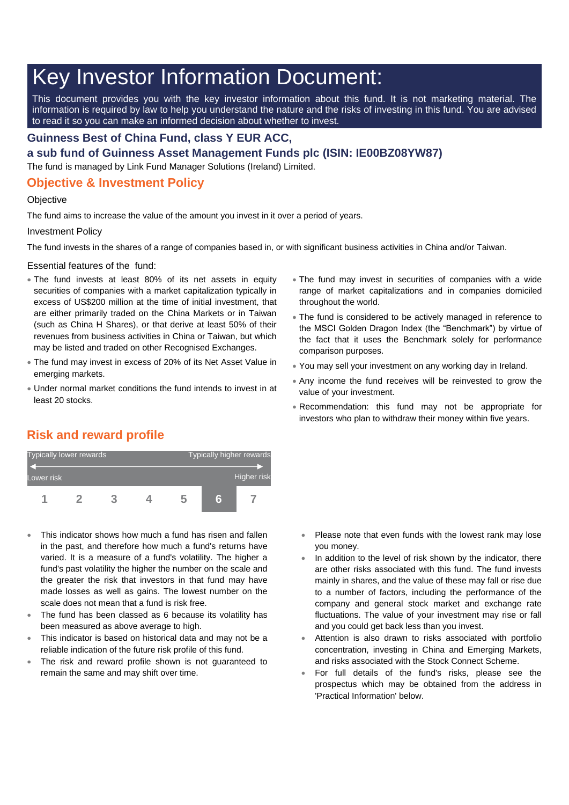# Key Investor Information Document:

This document provides you with the key investor information about this fund. It is not marketing material. The information is required by law to help you understand the nature and the risks of investing in this fund. You are advised to read it so you can make an informed decision about whether to invest.

#### **Guinness Best of China Fund, class Y EUR ACC,**

**a sub fund of Guinness Asset Management Funds plc (ISIN: IE00BZ08YW87)**

The fund is managed by Link Fund Manager Solutions (Ireland) Limited.

### **Objective & Investment Policy**

#### **Objective**

The fund aims to increase the value of the amount you invest in it over a period of years.

#### Investment Policy

The fund invests in the shares of a range of companies based in, or with significant business activities in China and/or Taiwan.

Essential features of the fund:

- The fund invests at least 80% of its net assets in equity securities of companies with a market capitalization typically in excess of US\$200 million at the time of initial investment, that are either primarily traded on the China Markets or in Taiwan (such as China H Shares), or that derive at least 50% of their revenues from business activities in China or Taiwan, but which may be listed and traded on other Recognised Exchanges.
- The fund may invest in excess of 20% of its Net Asset Value in emerging markets.
- Under normal market conditions the fund intends to invest in at least 20 stocks.
- The fund may invest in securities of companies with a wide range of market capitalizations and in companies domiciled throughout the world.
- The fund is considered to be actively managed in reference to the MSCI Golden Dragon Index (the "Benchmark") by virtue of the fact that it uses the Benchmark solely for performance comparison purposes.
- You may sell your investment on any working day in Ireland.
- Any income the fund receives will be reinvested to grow the value of your investment.
- Recommendation: this fund may not be appropriate for investors who plan to withdraw their money within five years.

# **Risk and reward profile**



- This indicator shows how much a fund has risen and fallen in the past, and therefore how much a fund's returns have varied. It is a measure of a fund's volatility. The higher a fund's past volatility the higher the number on the scale and the greater the risk that investors in that fund may have made losses as well as gains. The lowest number on the scale does not mean that a fund is risk free.
- The fund has been classed as 6 because its volatility has been measured as above average to high.
- This indicator is based on historical data and may not be a reliable indication of the future risk profile of this fund.
- The risk and reward profile shown is not guaranteed to remain the same and may shift over time.
- Please note that even funds with the lowest rank may lose you money.
- In addition to the level of risk shown by the indicator, there are other risks associated with this fund. The fund invests mainly in shares, and the value of these may fall or rise due to a number of factors, including the performance of the company and general stock market and exchange rate fluctuations. The value of your investment may rise or fall and you could get back less than you invest.
- Attention is also drawn to risks associated with portfolio concentration, investing in China and Emerging Markets, and risks associated with the Stock Connect Scheme.
- For full details of the fund's risks, please see the prospectus which may be obtained from the address in 'Practical Information' below.